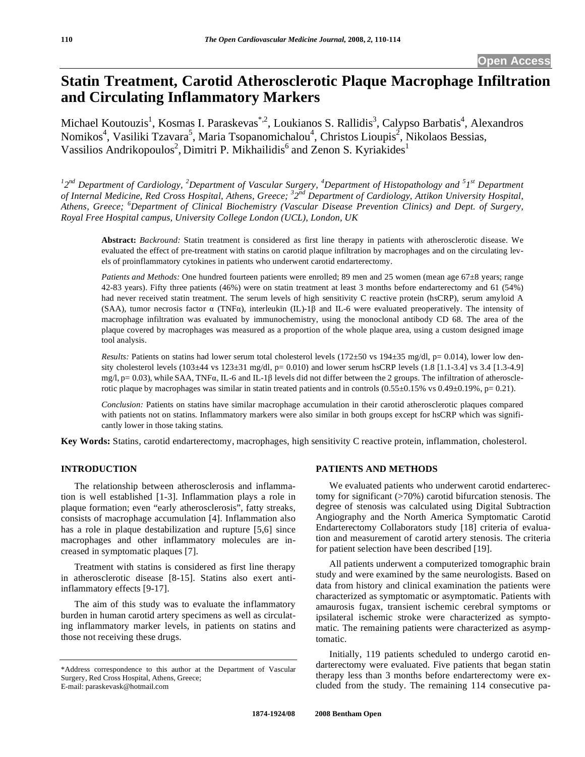# **Statin Treatment, Carotid Atherosclerotic Plaque Macrophage Infiltration and Circulating Inflammatory Markers**

Michael Koutouzis<sup>1</sup>, Kosmas I. Paraskevas<sup>\*, 2</sup>, Loukianos S. Rallidis<sup>3</sup>, Calypso Barbatis<sup>4</sup>, Alexandros Nomikos<sup>4</sup>, Vasiliki Tzavara<sup>5</sup>, Maria Tsopanomichalou<sup>4</sup>, Christos Lioupis<sup>2</sup>, Nikolaos Bessias, Vassilios Andrikopoulos<sup>2</sup>, Dimitri P. Mikhailidis<sup>6</sup> and Zenon S. Kyriakides<sup>1</sup>

<sup>1</sup>2<sup>nd</sup> Department of Cardiology, <sup>2</sup>Department of Vascular Surgery, <sup>4</sup>Department of Histopathology and <sup>5</sup>1<sup>st</sup> Department *of Internal Medicine, Red Cross Hospital, Athens, Greece; <sup>3</sup> 2nd Department of Cardiology, Attikon University Hospital, Athens, Greece; <sup>6</sup> Department of Clinical Biochemistry (Vascular Disease Prevention Clinics) and Dept. of Surgery, Royal Free Hospital campus, University College London (UCL), London, UK* 

**Abstract:** *Backround:* Statin treatment is considered as first line therapy in patients with atherosclerotic disease. We evaluated the effect of pre-treatment with statins on carotid plaque infiltration by macrophages and on the circulating levels of proinflammatory cytokines in patients who underwent carotid endarterectomy.

*Patients and Methods:* One hundred fourteen patients were enrolled; 89 men and 25 women (mean age 67±8 years; range 42-83 years). Fifty three patients (46%) were on statin treatment at least 3 months before endarterectomy and 61 (54%) had never received statin treatment. The serum levels of high sensitivity C reactive protein (hsCRP), serum amyloid A (SAA), tumor necrosis factor  $\alpha$  (TNF $\alpha$ ), interleukin (IL)-1 $\beta$  and IL-6 were evaluated preoperatively. The intensity of macrophage infiltration was evaluated by immunochemistry, using the monoclonal antibody CD 68. The area of the plaque covered by macrophages was measured as a proportion of the whole plaque area, using a custom designed image tool analysis.

*Results:* Patients on statins had lower serum total cholesterol levels (172±50 vs 194±35 mg/dl, p= 0.014), lower low density cholesterol levels  $(103±44 \text{ vs } 123±31 \text{ mg/dl}, p= 0.010)$  and lower serum hsCRP levels  $(1.8 [1.1-3.4] \text{ vs } 3.4 [1.3-4.9]$ mg/l,  $p = 0.03$ ), while SAA, TNF $\alpha$ , IL-6 and IL-1 $\beta$  levels did not differ between the 2 groups. The infiltration of atherosclerotic plaque by macrophages was similar in statin treated patients and in controls  $(0.55\pm0.15\% \text{ vs } 0.49\pm0.19\% , p= 0.21)$ .

*Conclusion:* Patients on statins have similar macrophage accumulation in their carotid atherosclerotic plaques compared with patients not on statins. Inflammatory markers were also similar in both groups except for hsCRP which was significantly lower in those taking statins.

**Key Words:** Statins, carotid endarterectomy, macrophages, high sensitivity C reactive protein, inflammation, cholesterol.

## **INTRODUCTION**

The relationship between atherosclerosis and inflammation is well established [1-3]. Inflammation plays a role in plaque formation; even "early atherosclerosis", fatty streaks, consists of macrophage accumulation [4]. Inflammation also has a role in plaque destabilization and rupture [5,6] since macrophages and other inflammatory molecules are increased in symptomatic plaques [7].

Treatment with statins is considered as first line therapy in atherosclerotic disease [8-15]. Statins also exert antiinflammatory effects [9-17].

The aim of this study was to evaluate the inflammatory burden in human carotid artery specimens as well as circulating inflammatory marker levels, in patients on statins and those not receiving these drugs.

### **PATIENTS AND METHODS**

We evaluated patients who underwent carotid endarterectomy for significant (>70%) carotid bifurcation stenosis. The degree of stenosis was calculated using Digital Subtraction Angiography and the North America Symptomatic Carotid Endarterectomy Collaborators study [18] criteria of evaluation and measurement of carotid artery stenosis. The criteria for patient selection have been described [19].

All patients underwent a computerized tomographic brain study and were examined by the same neurologists. Based on data from history and clinical examination the patients were characterized as symptomatic or asymptomatic. Patients with amaurosis fugax, transient ischemic cerebral symptoms or ipsilateral ischemic stroke were characterized as symptomatic. The remaining patients were characterized as asymptomatic.

Initially, 119 patients scheduled to undergo carotid endarterectomy were evaluated. Five patients that began statin therapy less than 3 months before endarterectomy were excluded from the study. The remaining 114 consecutive pa-

<sup>\*</sup>Address correspondence to this author at the Department of Vascular Surgery, Red Cross Hospital, Athens, Greece; E-mail: paraskevask@hotmail.com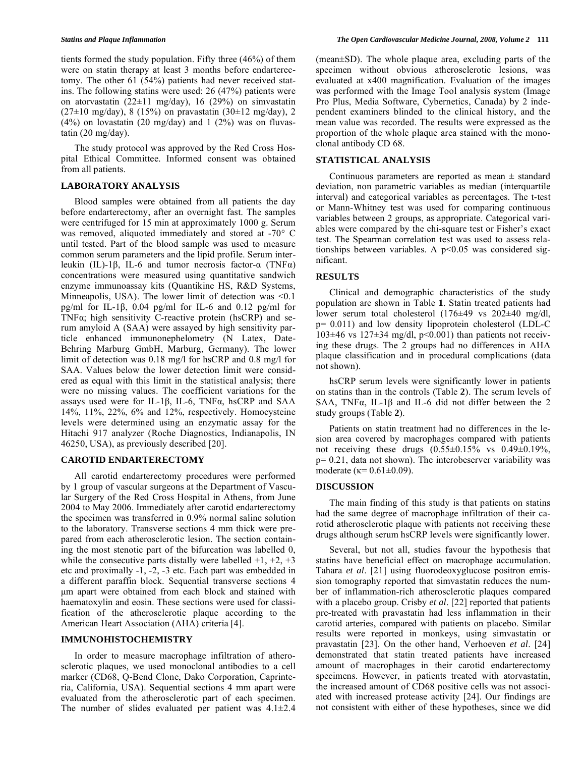tients formed the study population. Fifty three (46%) of them were on statin therapy at least 3 months before endarterectomy. The other 61 (54%) patients had never received statins. The following statins were used: 26 (47%) patients were on atorvastatin  $(22\pm 11 \text{ mg/day})$ , 16 (29%) on simvastatin  $(27\pm10 \text{ mg/day})$ , 8 (15%) on pravastatin (30 $\pm$ 12 mg/day), 2  $(4\%)$  on lovastatin  $(20 \text{ mg/day})$  and  $1 \ (2\%)$  was on fluvastatin (20 mg/day).

The study protocol was approved by the Red Cross Hospital Ethical Committee. Informed consent was obtained from all patients.

### **LABORATORY ANALYSIS**

Blood samples were obtained from all patients the day before endarterectomy, after an overnight fast. The samples were centrifuged for 15 min at approximately 1000 g. Serum was removed, aliquoted immediately and stored at -70° C until tested. Part of the blood sample was used to measure common serum parameters and the lipid profile. Serum interleukin (IL)-1 $\beta$ , IL-6 and tumor necrosis factor- $\alpha$  (TNF $\alpha$ ) concentrations were measured using quantitative sandwich enzyme immunoassay kits (Quantikine HS, R&D Systems, Minneapolis, USA). The lower limit of detection was <0.1 pg/ml for IL-1 $\beta$ , 0.04 pg/ml for IL-6 and 0.12 pg/ml for TNF $\alpha$ ; high sensitivity C-reactive protein (hsCRP) and serum amyloid A (SAA) were assayed by high sensitivity particle enhanced immunonephelometry (N Latex, Date-Behring Marburg GmbH, Marburg, Germany). The lower limit of detection was 0.18 mg/l for hsCRP and 0.8 mg/l for SAA. Values below the lower detection limit were considered as equal with this limit in the statistical analysis; there were no missing values. The coefficient variations for the assays used were for IL-1 $\beta$ , IL-6, TNF $\alpha$ , hsCRP and SAA 14%, 11%, 22%, 6% and 12%, respectively. Homocysteine levels were determined using an enzymatic assay for the Hitachi 917 analyzer (Roche Diagnostics, Indianapolis, IN 46250, USA), as previously described [20].

#### **CAROTID ENDARTERECTOMY**

All carotid endarterectomy procedures were performed by 1 group of vascular surgeons at the Department of Vascular Surgery of the Red Cross Hospital in Athens, from June 2004 to May 2006. Immediately after carotid endarterectomy the specimen was transferred in 0.9% normal saline solution to the laboratory. Transverse sections 4 mm thick were prepared from each atherosclerotic lesion. The section containing the most stenotic part of the bifurcation was labelled 0, while the consecutive parts distally were labelled  $+1, +2, +3$ etc and proximally -1, -2, -3 etc. Each part was embedded in a different paraffin block. Sequential transverse sections 4 μm apart were obtained from each block and stained with haematoxylin and eosin. These sections were used for classification of the atherosclerotic plaque according to the American Heart Association (AHA) criteria [4].

#### **IMMUNOHISTOCHEMISTRY**

In order to measure macrophage infiltration of atherosclerotic plaques, we used monoclonal antibodies to a cell marker (CD68, Q-Bend Clone, Dako Corporation, Caprinteria, California, USA). Sequential sections 4 mm apart were evaluated from the atherosclerotic part of each specimen. The number of slides evaluated per patient was  $4.1 \pm 2.4$  (mean±SD). The whole plaque area, excluding parts of the specimen without obvious atherosclerotic lesions, was evaluated at x400 magnification. Evaluation of the images was performed with the Image Tool analysis system (Image Pro Plus, Media Software, Cybernetics, Canada) by 2 independent examiners blinded to the clinical history, and the mean value was recorded. The results were expressed as the proportion of the whole plaque area stained with the monoclonal antibody CD 68.

## **STATISTICAL ANALYSIS**

Continuous parameters are reported as mean  $\pm$  standard deviation, non parametric variables as median (interquartile interval) and categorical variables as percentages. The t-test or Mann-Whitney test was used for comparing continuous variables between 2 groups, as appropriate. Categorical variables were compared by the chi-square test or Fisher's exact test. The Spearman correlation test was used to assess relationships between variables. A  $p<0.05$  was considered significant.

#### **RESULTS**

Clinical and demographic characteristics of the study population are shown in Table **1**. Statin treated patients had lower serum total cholesterol (176±49 vs 202±40 mg/dl, p= 0.011) and low density lipoprotein cholesterol (LDL-C 103 $\pm$ 46 vs 127 $\pm$ 34 mg/dl, p<0.001) than patients not receiving these drugs. The 2 groups had no differences in AHA plaque classification and in procedural complications (data not shown).

hsCRP serum levels were significantly lower in patients on statins than in the controls (Table **2**). The serum levels of SAA, TNF $\alpha$ , IL-1 $\beta$  and IL-6 did not differ between the 2 study groups (Table **2**).

Patients on statin treatment had no differences in the lesion area covered by macrophages compared with patients not receiving these drugs  $(0.55 \pm 0.15\% \text{ vs } 0.49 \pm 0.19\%$ , p= 0.21, data not shown). The interobeserver variability was moderate ( $\kappa$ = 0.61±0.09).

#### **DISCUSSION**

The main finding of this study is that patients on statins had the same degree of macrophage infiltration of their carotid atherosclerotic plaque with patients not receiving these drugs although serum hsCRP levels were significantly lower.

Several, but not all, studies favour the hypothesis that statins have beneficial effect on macrophage accumulation. Tahara *et al*. [21] using fluorodeoxyglucose positron emission tomography reported that simvastatin reduces the number of inflammation-rich atherosclerotic plaques compared with a placebo group. Crisby *et al*. [22] reported that patients pre-treated with pravastatin had less inflammation in their carotid arteries, compared with patients on placebo. Similar results were reported in monkeys, using simvastatin or pravastatin [23]. On the other hand, Verhoeven *et al*. [24] demonstrated that statin treated patients have increased amount of macrophages in their carotid endarterectomy specimens. However, in patients treated with atorvastatin, the increased amount of CD68 positive cells was not associated with increased protease activity [24]. Our findings are not consistent with either of these hypotheses, since we did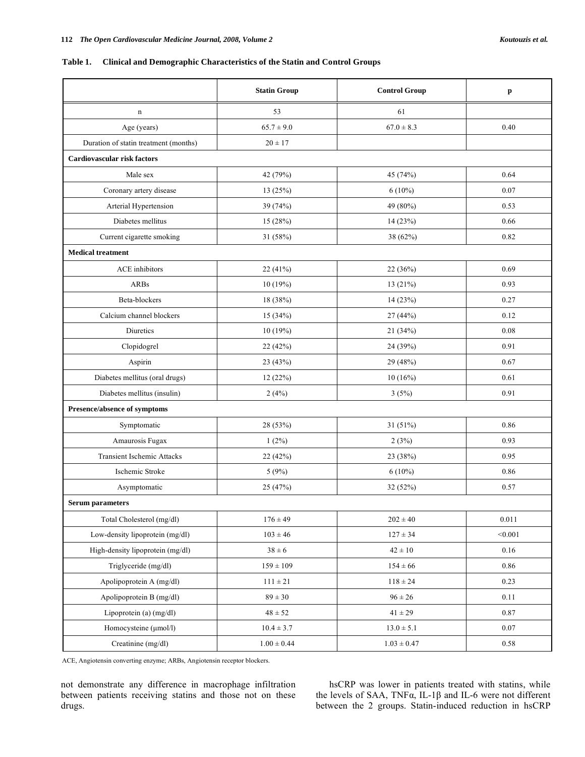## **Table 1. Clinical and Demographic Characteristics of the Statin and Control Groups**

|                                       | <b>Statin Group</b> | <b>Control Group</b> | p         |  |
|---------------------------------------|---------------------|----------------------|-----------|--|
| n                                     | 53                  | 61                   |           |  |
| Age (years)                           | $65.7 \pm 9.0$      | $67.0 \pm 8.3$       | 0.40      |  |
| Duration of statin treatment (months) | $20 \pm 17$         |                      |           |  |
| Cardiovascular risk factors           |                     |                      |           |  |
| Male sex                              | 42 (79%)            | 45 (74%)             | 0.64      |  |
| Coronary artery disease               | 13 (25%)            | $6(10\%)$            | 0.07      |  |
| Arterial Hypertension                 | 39 (74%)            | 49 (80%)             | 0.53      |  |
| Diabetes mellitus                     | 15 (28%)            | 14 (23%)             | 0.66      |  |
| Current cigarette smoking             | 31 (58%)            | 38 (62%)             | 0.82      |  |
| <b>Medical treatment</b>              |                     |                      |           |  |
| <b>ACE</b> inhibitors                 | 22 (41%)            | 22 (36%)             | 0.69      |  |
| <b>ARBs</b>                           | 10 (19%)            | 13 (21%)             | 0.93      |  |
| Beta-blockers                         | 18 (38%)            | 14 (23%)             | 0.27      |  |
| Calcium channel blockers              | 15(34%)             | 27 (44%)             | 0.12      |  |
| Diuretics                             | 10(19%)             | 21 (34%)             | 0.08      |  |
| Clopidogrel                           | 22 (42%)            | 24 (39%)             | 0.91      |  |
| Aspirin                               | 23 (43%)            | 29 (48%)             | 0.67      |  |
| Diabetes mellitus (oral drugs)        | 12(22%)             | 10(16%)              | 0.61      |  |
| Diabetes mellitus (insulin)           | 2(4%)               | 3(5%)                | 0.91      |  |
| Presence/absence of symptoms          |                     |                      |           |  |
| Symptomatic                           | 28 (53%)            | 31 (51%)             | 0.86      |  |
| Amaurosis Fugax                       | $1(2\%)$            | 2(3%)                | 0.93      |  |
| <b>Transient Ischemic Attacks</b>     | 22 (42%)            | 23 (38%)             | 0.95      |  |
| Ischemic Stroke                       | 5(9%)               | $6(10\%)$            | 0.86      |  |
| Asymptomatic                          | 25 (47%)            | 32 (52%)             | 0.57      |  |
| <b>Serum parameters</b>               |                     |                      |           |  |
| Total Cholesterol (mg/dl)             | $176 \pm 49$        | $202 \pm 40$         | $0.011\,$ |  |
| Low-density lipoprotein (mg/dl)       | $103 \pm 46$        | $127 \pm 34$         | < 0.001   |  |
| High-density lipoprotein (mg/dl)      | $38 \pm 6$          | $42 \pm 10$          | 0.16      |  |
| Triglyceride (mg/dl)                  | $159 \pm 109$       | $154 \pm 66$         | 0.86      |  |
| Apolipoprotein A (mg/dl)              | $111\pm21$          | $118\pm24$           | 0.23      |  |
| Apolipoprotein B (mg/dl)              | $89 \pm 30$         | $96 \pm 26$          | 0.11      |  |
| Lipoprotein (a) (mg/dl)               | $48 \pm 52$         | $41 \pm 29$          | 0.87      |  |
| Homocysteine (µmol/l)                 | $10.4 \pm 3.7$      | $13.0\pm5.1$         | $0.07\,$  |  |
| Creatinine (mg/dl)                    | $1.00\pm0.44$       | $1.03\pm0.47$        | 0.58      |  |

ACE, Angiotensin converting enzyme; ARBs, Angiotensin receptor blockers.

not demonstrate any difference in macrophage infiltration between patients receiving statins and those not on these drugs.

hsCRP was lower in patients treated with statins, while the levels of SAA,  $TNF\alpha$ , IL-1 $\beta$  and IL-6 were not different between the 2 groups. Statin-induced reduction in hsCRP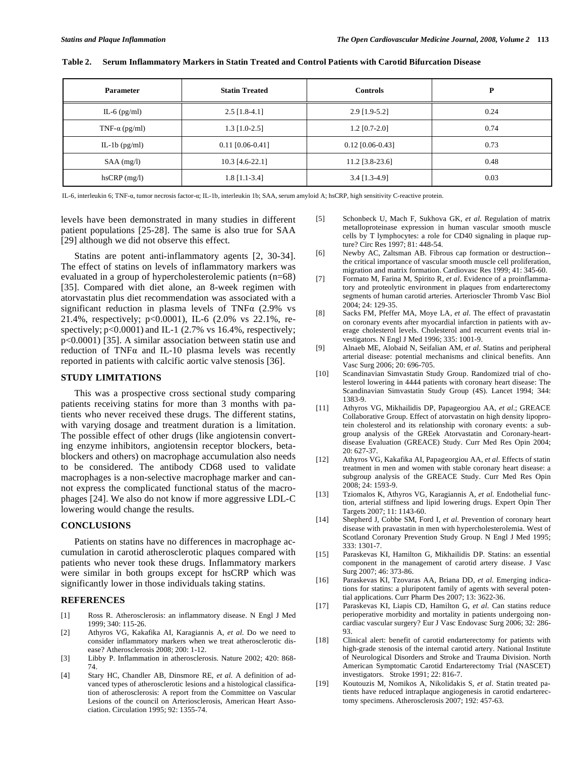| <b>Parameter</b>      | <b>Statin Treated</b> | <b>Controls</b>    | P    |
|-----------------------|-----------------------|--------------------|------|
| IL-6 $(pg/ml)$        | $2.5$ [1.8-4.1]       | $2.9$ [1.9-5.2]    | 0.24 |
| TNF- $\alpha$ (pg/ml) | $1.3$ [1.0-2.5]       | $1.2$ [0.7-2.0]    | 0.74 |
| IL-1b $(pg/ml)$       | $0.11$ [0.06-0.41]    | $0.12$ [0.06-0.43] | 0.73 |
| $SAA$ (mg/l)          | 10.3 [4.6-22.1]       | $11.2$ [3.8-23.6]  | 0.48 |
| $h$ sCRP $(mg/l)$     | $1.8$ [1.1-3.4]       | $3.4$ [1.3-4.9]    | 0.03 |

#### **Table 2. Serum Inflammatory Markers in Statin Treated and Control Patients with Carotid Bifurcation Disease**

IL-6, interleukin 6; TNF-a, tumor necrosis factor-a; IL-1b, interleukin 1b; SAA, serum amyloid A; hsCRP, high sensitivity C-reactive protein.

levels have been demonstrated in many studies in different patient populations [25-28]. The same is also true for SAA [29] although we did not observe this effect.

Statins are potent anti-inflammatory agents [2, 30-34]. The effect of statins on levels of inflammatory markers was evaluated in a group of hypercholesterolemic patients (n=68) [35]. Compared with diet alone, an 8-week regimen with atorvastatin plus diet recommendation was associated with a significant reduction in plasma levels of TNF $\alpha$  (2.9% vs 21.4%, respectively; p<0.0001), IL-6 (2.0% vs 22.1%, respectively; p<0.0001) and IL-1 (2.7% vs 16.4%, respectively; p<0.0001) [35]. A similar association between statin use and reduction of TNF $\alpha$  and IL-10 plasma levels was recently reported in patients with calcific aortic valve stenosis [36].

### **STUDY LIMITATIONS**

This was a prospective cross sectional study comparing patients receiving statins for more than 3 months with patients who never received these drugs. The different statins, with varying dosage and treatment duration is a limitation. The possible effect of other drugs (like angiotensin converting enzyme inhibitors, angiotensin receptor blockers, betablockers and others) on macrophage accumulation also needs to be considered. The antibody CD68 used to validate macrophages is a non-selective macrophage marker and cannot express the complicated functional status of the macrophages [24]. We also do not know if more aggressive LDL-C lowering would change the results.

## **CONCLUSIONS**

Patients on statins have no differences in macrophage accumulation in carotid atherosclerotic plaques compared with patients who never took these drugs. Inflammatory markers were similar in both groups except for hsCRP which was significantly lower in those individuals taking statins.

#### **REFERENCES**

- [1] Ross R. Atherosclerosis: an inflammatory disease. N Engl J Med  $1999: 340: 115-26$ .
- [2] Athyros VG, Kakafika AI, Karagiannis A, *et al*. Do we need to consider inflammatory markers when we treat atherosclerotic disease? Atherosclerosis 2008; 200: 1-12.
- [3] Libby P. Inflammation in atherosclerosis. Nature 2002; 420: 868- 74.
- [4] Stary HC, Chandler AB, Dinsmore RE, *et al*. A definition of advanced types of atherosclerotic lesions and a histological classification of atherosclerosis: A report from the Committee on Vascular Lesions of the council on Arteriosclerosis, American Heart Association. Circulation 1995; 92: 1355-74.
- [5] Schonbeck U, Mach F, Sukhova GK, *et al*. Regulation of matrix metalloproteinase expression in human vascular smooth muscle cells by T lymphocytes: a role for CD40 signaling in plaque rupture? Circ Res 1997; 81: 448-54.
- [6] Newby AC, Zaltsman AB. Fibrous cap formation or destruction- the critical importance of vascular smooth muscle cell proliferation, migration and matrix formation. Cardiovasc Res 1999; 41: 345-60.
- [7] Formato M, Farina M, Spirito R, *et al*. Evidence of a proinflammatory and proteolytic environment in plaques from endarterectomy segments of human carotid arteries. Arterioscler Thromb Vasc Biol 2004; 24: 129-35.
- [8] Sacks FM, Pfeffer MA, Moye LA, *et al*. The effect of pravastatin on coronary events after myocardial infarction in patients with average cholesterol levels. Cholesterol and recurrent events trial investigators. N Engl J Med 1996; 335: 1001-9.
- [9] Alnaeb ME, Alobaid N, Seifalian AM, *et al*. Statins and peripheral arterial disease: potential mechanisms and clinical benefits. Ann Vasc Surg 2006; 20: 696-705.
- [10] Scandinavian Simvastatin Study Group. Randomized trial of cholesterol lowering in 4444 patients with coronary heart disease: The Scandinavian Simvastatin Study Group (4S). Lancet 1994; 344: 1383-9.
- [11] Athyros VG, Mikhailidis DP, Papageorgiou AA, *et al*.; GREACE Collaborative Group. Effect of atorvastatin on high density lipoprotein cholesterol and its relationship with coronary events: a subgroup analysis of the GREek Atorvastatin and Coronary-heartdisease Evaluation (GREACE) Study. Curr Med Res Opin 2004; 20: 627-37.
- [12] Athyros VG, Kakafika AI, Papageorgiou AA, *et al*. Effects of statin treatment in men and women with stable coronary heart disease: a subgroup analysis of the GREACE Study. Curr Med Res Opin 2008; 24: 1593-9.
- [13] Tziomalos K, Athyros VG, Karagiannis A, *et al*. Endothelial function, arterial stiffness and lipid lowering drugs. Expert Opin Ther Targets 2007; 11: 1143-60.
- [14] Shepherd J, Cobbe SM, Ford I, *et al*. Prevention of coronary heart disease with pravastatin in men with hypercholesterolemia. West of Scotland Coronary Prevention Study Group. N Engl J Med 1995; 333: 1301-7.
- [15] Paraskevas KI, Hamilton G, Mikhailidis DP. Statins: an essential component in the management of carotid artery disease. J Vasc Surg 2007; 46: 373-86.
- [16] Paraskevas KI, Tzovaras AA, Briana DD, *et al*. Emerging indications for statins: a pluripotent family of agents with several potential applications. Curr Pharm Des 2007; 13: 3622-36.
- [17] Paraskevas KI, Liapis CD, Hamilton G, *et al*. Can statins reduce perioperative morbidity and mortality in patients undergoing noncardiac vascular surgery? Eur J Vasc Endovasc Surg 2006; 32: 286- 93.
- [18] Clinical alert: benefit of carotid endarterectomy for patients with high-grade stenosis of the internal carotid artery. National Institute of Neurological Disorders and Stroke and Trauma Division. North American Symptomatic Carotid Endarterectomy Trial (NASCET) investigators. Stroke 1991; 22: 816-7.
- [19] Koutouzis M, Nomikos A, Nikolidakis S, *et al*. Statin treated patients have reduced intraplaque angiogenesis in carotid endarterectomy specimens. Atherosclerosis 2007; 192: 457-63.